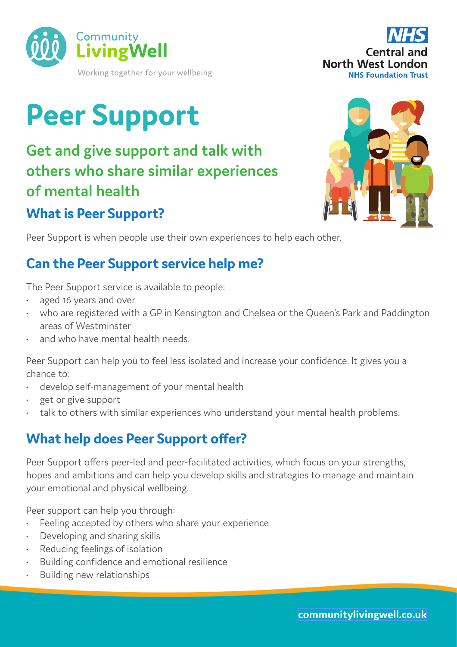



# **Peer Support**

**Get and give support and talk with others who share similar experiences of mental health**

## **What is Peer Support?**

Peer Support is when people use their own experiences to help each other.

## **Can the Peer Support service help me?**

The Peer Support service is available to people:

- aged 16 years and over
- who are registered with a GP in Kensington and Chelsea or the Queen's Park and Paddington areas of Westminster
- and who have mental health needs.

Peer Support can help you to feel less isolated and increase your confidence. It gives you a chance to:

- develop self-management of your mental health
- get or give support
- talk to others with similar experiences who understand your mental health problems.

# **What help does Peer Support offer?**

Peer Support offers peer-led and peer-facilitated activities, which focus on your strengths, hopes and ambitions and can help you develop skills and strategies to manage and maintain your emotional and physical wellbeing.

Peer support can help you through:

- Feeling accepted by others who share your experience
- Developing and sharing skills
- Reducing feelings of isolation
- Building confidence and emotional resilience
- Building new relationships

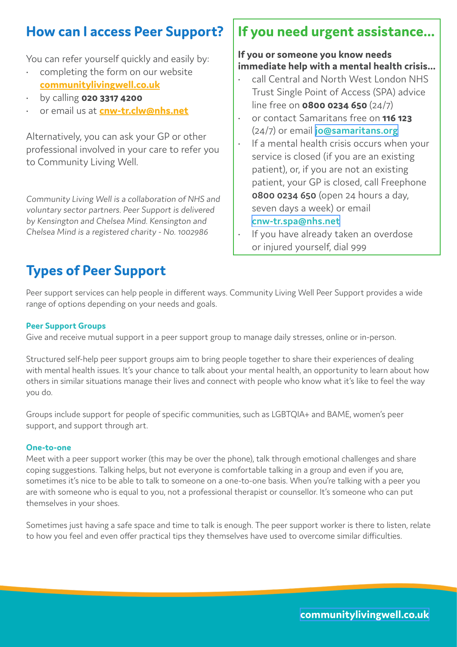## **How can I access Peer Support?**

You can refer yourself quickly and easily by:

- completing the form on our website **[communitylivingwell.co.uk](http://www.communitylivingwell.co.uk)**
- by calling **020 3317 4200**
- or email us at **[cnw-tr.clw@nhs.net](mailto:cnw-tr.clw%40nhs.net?subject=)**

Alternatively, you can ask your GP or other professional involved in your care to refer you to Community Living Well.

Community Living Well is a collaboration of NHS and voluntary sector partners. Peer Support is delivered by Kensington and Chelsea Mind. Kensington and Chelsea Mind is a registered charity - No. 1002986

## **If you need urgent assistance...**

#### **If you or someone you know needs immediate help with a mental health crisis...**

- call Central and North West London NHS Trust Single Point of Access (SPA) advice line free on **0800 0234 650** (24/7)
- or contact Samaritans free on **116 123**  (24/7) or email **[jo@samaritans.org](mailto:jo%40samaritans.org?subject=)**
- If a mental health crisis occurs when your service is closed (if you are an existing patient), or, if you are not an existing patient, your GP is closed, call Freephone **0800 0234 650** (open 24 hours a day, seven days a week) or email **[cnw-tr.spa@nhs.net](mailto:cnw-tr.spa%40nhs.net?subject=)**
- If you have already taken an overdose or injured yourself, dial 999

# **Types of Peer Support**

Peer support services can help people in different ways. Community Living Well Peer Support provides a wide range of options depending on your needs and goals.

#### **Peer Support Groups**

Give and receive mutual support in a peer support group to manage daily stresses, online or in-person.

Structured self-help peer support groups aim to bring people together to share their experiences of dealing with mental health issues. It's your chance to talk about your mental health, an opportunity to learn about how others in similar situations manage their lives and connect with people who know what it's like to feel the way you do.

Groups include support for people of specific communities, such as LGBTQIA+ and BAME, women's peer support, and support through art.

#### **One-to-one**

Meet with a peer support worker (this may be over the phone), talk through emotional challenges and share coping suggestions. Talking helps, but not everyone is comfortable talking in a group and even if you are, sometimes it's nice to be able to talk to someone on a one-to-one basis. When you're talking with a peer you are with someone who is equal to you, not a professional therapist or counsellor. It's someone who can put themselves in your shoes.

Sometimes just having a safe space and time to talk is enough. The peer support worker is there to listen, relate to how you feel and even offer practical tips they themselves have used to overcome similar difficulties.